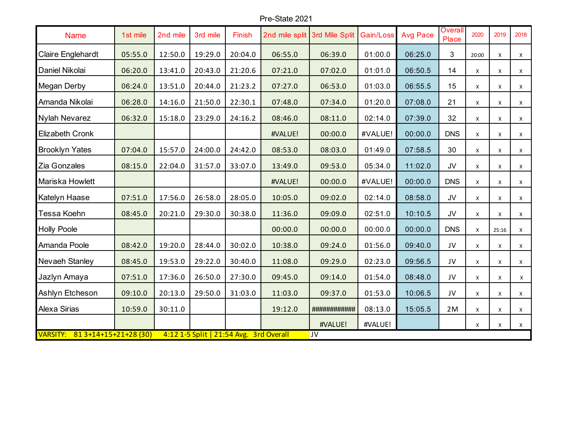## Pre-State 2021

| <b>Name</b>                                                                     | 1st mile | 2nd mile | 3rd mile | Finish  | 2nd mile split | 3rd Mile Split | Gain/Loss | <b>Avg Pace</b> | <b>Overall</b><br>Place | 2020         | 2019  | 2018         |
|---------------------------------------------------------------------------------|----------|----------|----------|---------|----------------|----------------|-----------|-----------------|-------------------------|--------------|-------|--------------|
| Claire Englehardt                                                               | 05:55.0  | 12:50.0  | 19:29.0  | 20:04.0 | 06:55.0        | 06:39.0        | 01:00.0   | 06:25.0         | 3                       | 20:00        | X     | X            |
| Daniel Nikolai                                                                  | 06:20.0  | 13:41.0  | 20:43.0  | 21:20.6 | 07:21.0        | 07:02.0        | 01:01.0   | 06:50.5         | 14                      | X            | X     | X            |
| Megan Derby                                                                     | 06:24.0  | 13:51.0  | 20:44.0  | 21:23.2 | 07:27.0        | 06:53.0        | 01:03.0   | 06:55.5         | 15                      | $\pmb{\chi}$ | X     | $\mathsf X$  |
| Amanda Nikolai                                                                  | 06:28.0  | 14:16.0  | 21:50.0  | 22:30.1 | 07:48.0        | 07:34.0        | 01:20.0   | 07:08.0         | 21                      | X            | Χ     | X            |
| Nylah Nevarez                                                                   | 06:32.0  | 15:18.0  | 23:29.0  | 24:16.2 | 08:46.0        | 08:11.0        | 02:14.0   | 07:39.0         | 32                      | X            | X     | $\mathsf{X}$ |
| Elizabeth Cronk                                                                 |          |          |          |         | #VALUE!        | 00:00.0        | #VALUE!   | 00:00.0         | <b>DNS</b>              | X            | Χ     | X            |
| <b>Brooklyn Yates</b>                                                           | 07:04.0  | 15:57.0  | 24:00.0  | 24:42.0 | 08:53.0        | 08:03.0        | 01:49.0   | 07:58.5         | 30                      | X            | X     | $\mathsf{x}$ |
| Zia Gonzales                                                                    | 08:15.0  | 22:04.0  | 31:57.0  | 33:07.0 | 13:49.0        | 09:53.0        | 05:34.0   | 11:02.0         | JV                      | X            | X     | X            |
| Mariska Howlett                                                                 |          |          |          |         | #VALUE!        | 00:00.0        | #VALUE!   | 00:00.0         | <b>DNS</b>              | $\mathsf{X}$ | X     | X            |
| Katelyn Haase                                                                   | 07:51.0  | 17:56.0  | 26:58.0  | 28:05.0 | 10:05.0        | 09:02.0        | 02:14.0   | 08:58.0         | JV                      | X            | X     | X            |
| Tessa Koehn                                                                     | 08:45.0  | 20:21.0  | 29:30.0  | 30:38.0 | 11:36.0        | 09:09.0        | 02:51.0   | 10:10.5         | JV                      | X            | X     | X            |
| <b>Holly Poole</b>                                                              |          |          |          |         | 00:00.0        | 00:00.0        | 00:00.0   | 00:00.0         | <b>DNS</b>              | $\mathsf{X}$ | 25:16 | X            |
| Amanda Poole                                                                    | 08:42.0  | 19:20.0  | 28:44.0  | 30:02.0 | 10:38.0        | 09:24.0        | 01:56.0   | 09:40.0         | JV                      | X            | Χ     | X            |
| Nevaeh Stanley                                                                  | 08:45.0  | 19:53.0  | 29:22.0  | 30:40.0 | 11:08.0        | 09:29.0        | 02:23.0   | 09:56.5         | JV                      | X            | X     | X            |
| Jazlyn Amaya                                                                    | 07:51.0  | 17:36.0  | 26:50.0  | 27:30.0 | 09:45.0        | 09:14.0        | 01:54.0   | 08:48.0         | JV                      | X            | X     | X            |
| Ashlyn Etcheson                                                                 | 09:10.0  | 20:13.0  | 29:50.0  | 31:03.0 | 11:03.0        | 09:37.0        | 01:53.0   | 10:06.5         | JV                      | X            | X     | X            |
| Alexa Sirias                                                                    | 10:59.0  | 30:11.0  |          |         | 19:12.0        | ############   | 08:13.0   | 15:05.5         | 2M                      | X            | X     | X            |
|                                                                                 |          |          |          |         |                | #VALUE!        | #VALUE!   |                 |                         | X            | X     | X            |
| VARSITY: 81 3+14+15+21+28 (30)<br>4:12 1-5 Split   21:54 Avg. 3rd Overall<br>JV |          |          |          |         |                |                |           |                 |                         |              |       |              |